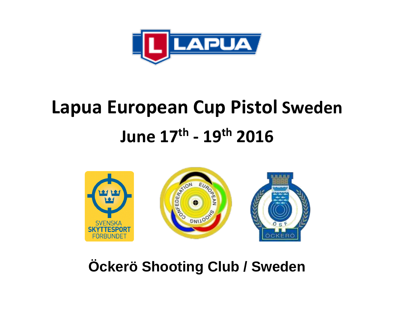

# **Lapua European Cup Pistol Sweden June 17th - 19th 2016**



### **Öckerö Shooting Club / Sweden**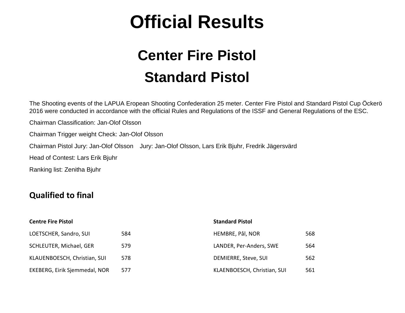## **Official Results**

### **Center Fire Pistol Standard Pistol**

The Shooting events of the LAPUA Eropean Shooting Confederation 25 meter. Center Fire Pistol and Standard Pistol Cup Öckerö 2016 were conducted in accordance with the official Rules and Regulations of the ISSF and General Regulations of the ESC.

Chairman Classification: Jan-Olof Olsson

Chairman Trigger weight Check: Jan-Olof Olsson

Chairman Pistol Jury: Jan-Olof Olsson Jury: Jan-Olof Olsson, Lars Erik Bjuhr, Fredrik Jägersvärd

Head of Contest: Lars Erik Bjuhr

Ranking list: Zenitha Bjuhr

#### **Qualified to final**

| <b>Centre Fire Pistol</b>     | <b>Standard Pistol</b> |                             |     |  |  |  |
|-------------------------------|------------------------|-----------------------------|-----|--|--|--|
| LOETSCHER, Sandro, SUI        | 584                    | HEMBRE, Pål, NOR            | 568 |  |  |  |
| SCHLEUTER, Michael, GER       | 579                    | LANDER, Per-Anders, SWE     | 564 |  |  |  |
| KLAUENBOESCH, Christian, SUI  | 578                    | DEMIERRE, Steve, SUI        | 562 |  |  |  |
| EKEBERG, Eirik Sjemmedal, NOR | 577                    | KLAENBOESCH, Christian, SUI | 561 |  |  |  |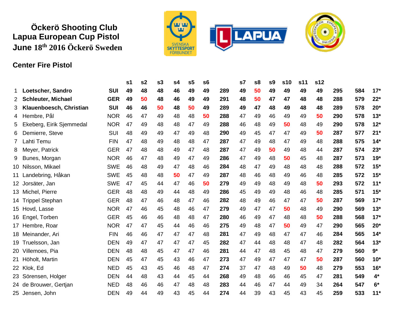#### **Öckerö Shooting Club Lapua European Cup Pistol June 18 th 2016 Öckerö Sweden**



#### **Center Fire Pistol**

|              |                           |            | s1 | s <sub>2</sub> | s3 | s4 | s <sub>5</sub> | s6 |     | s7 | s8 | s <sub>9</sub> | s10 | s11 | s12 |     |     |       |
|--------------|---------------------------|------------|----|----------------|----|----|----------------|----|-----|----|----|----------------|-----|-----|-----|-----|-----|-------|
| 1            | Loetscher, Sandro         | <b>SUI</b> | 49 | 48             | 48 | 46 | 49             | 49 | 289 | 49 | 50 | 49             | 49  | 49  | 49  | 295 | 584 | $17*$ |
| $\mathbf{2}$ | <b>Schleuter, Michael</b> | <b>GER</b> | 49 | 50             | 48 | 46 | 49             | 49 | 291 | 48 | 50 | 47             | 47  | 48  | 48  | 288 | 579 | $22*$ |
| 3.           | Klauenboesch, Christian   | <b>SUI</b> | 46 | 46             | 50 | 48 | 50             | 49 | 289 | 49 | 47 | 48             | 49  | 48  | 48  | 289 | 578 | $20*$ |
| 4            | Hembre, Pål               | <b>NOR</b> | 46 | 47             | 49 | 48 | 48             | 50 | 288 | 47 | 49 | 46             | 49  | 49  | 50  | 290 | 578 | $13*$ |
| 5.           | Ekeberg, Eirik Sjemmedal  | <b>NOR</b> | 47 | 49             | 48 | 48 | 47             | 49 | 288 | 46 | 48 | 49             | 50  | 48  | 49  | 290 | 578 | $12*$ |
| 6            | Demierre, Steve           | SUI        | 48 | 49             | 49 | 47 | 49             | 48 | 290 | 49 | 45 | 47             | 47  | 49  | 50  | 287 | 577 | $21*$ |
| 7.           | .ahti Temu                | <b>FIN</b> | 47 | 48             | 49 | 48 | 48             | 47 | 287 | 47 | 49 | 48             | 47  | 49  | 48  | 288 | 575 | 14'   |
| 8            | Meyer, Patrick            | <b>GER</b> | 47 | 48             | 48 | 49 | 47             | 48 | 287 | 47 | 49 | 50             | 49  | 48  | 44  | 287 | 574 | $23*$ |
| 9            | Bunes, Morgan             | <b>NOR</b> | 46 | 47             | 48 | 49 | 47             | 49 | 286 | 47 | 49 | 48             | 50  | 45  | 48  | 287 | 573 | $19*$ |
|              | 10 Nilsson, Mikael        | <b>SWE</b> | 46 | 48             | 49 | 47 | 48             | 46 | 284 | 48 | 47 | 49             | 48  | 48  | 48  | 288 | 572 | $15*$ |
|              | 11 Landebring, Håkan      | <b>SWE</b> | 45 | 48             | 48 | 50 | 47             | 49 | 287 | 48 | 46 | 48             | 49  | 46  | 48  | 285 | 572 | $15*$ |
|              | 12 Jorsäter, Jan          | <b>SWE</b> | 47 | 45             | 44 | 47 | 46             | 50 | 279 | 49 | 49 | 48             | 49  | 48  | 50  | 293 | 572 | $11*$ |
|              | 13 Michel, Pierre         | <b>GER</b> | 48 | 48             | 49 | 44 | 48             | 49 | 286 | 45 | 49 | 49             | 48  | 46  | 48  | 285 | 571 | $15*$ |
|              | 14 Trippel Stephan        | <b>GER</b> | 48 | 47             | 46 | 48 | 47             | 46 | 282 | 48 | 49 | 46             | 47  | 47  | 50  | 287 | 569 | $17*$ |
|              | 15 Hovd, Lasse            | <b>NOR</b> | 47 | 46             | 45 | 48 | 46             | 47 | 279 | 49 | 47 | 47             | 50  | 48  | 49  | 290 | 569 | $13*$ |
|              | 16 Engel, Torben          | <b>GER</b> | 45 | 46             | 46 | 48 | 48             | 47 | 280 | 46 | 49 | 47             | 48  | 48  | 50  | 288 | 568 | $17*$ |
|              | 17 Hembre, Roar           | <b>NOR</b> | 47 | 47             | 45 | 44 | 46             | 46 | 275 | 49 | 48 | 47             | 50  | 49  | 47  | 290 | 565 | $20*$ |
|              | 18 Meinander, Ari         | <b>FIN</b> | 46 | 46             | 47 | 47 | 47             | 48 | 281 | 47 | 49 | 48             | 47  | 47  | 46  | 284 | 565 | $14*$ |
|              | 19 Truelsson, Jan         | <b>DEN</b> | 49 | 47             | 47 | 47 | 47             | 45 | 282 | 47 | 44 | 48             | 48  | 47  | 48  | 282 | 564 | $13*$ |
|              | 20 Villemoes, Pia         | <b>DEN</b> | 48 | 48             | 45 | 47 | 47             | 46 | 281 | 44 | 47 | 48             | 45  | 48  | 47  | 279 | 560 | $9*$  |
|              | 21 Höholt, Martin         | <b>DEN</b> | 45 | 47             | 45 | 43 | 46             | 47 | 273 | 47 | 49 | 47             | 47  | 47  | 50  | 287 | 560 | $10*$ |
|              | 22 Klok, Ed               | <b>NED</b> | 45 | 43             | 45 | 46 | 48             | 47 | 274 | 37 | 47 | 48             | 49  | 50  | 48  | 279 | 553 | $16*$ |
|              | 23 Sörensen, Holger       | <b>DEN</b> | 44 | 48             | 43 | 44 | 45             | 44 | 268 | 49 | 48 | 46             | 46  | 45  | 47  | 281 | 549 | $4*$  |
|              | 24 de Brouwer, Gertjan    | <b>NED</b> | 48 | 46             | 46 | 47 | 48             | 48 | 283 | 44 | 46 | 47             | 44  | 49  | 34  | 264 | 547 | $6*$  |
|              | 25 Jensen, John           | <b>DEN</b> | 49 | 44             | 49 | 43 | 45             | 44 | 274 | 44 | 39 | 43             | 45  | 43  | 45  | 259 | 533 | $11*$ |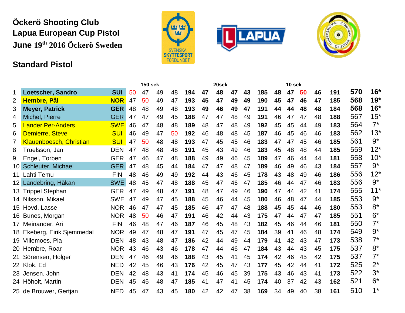#### **Öckerö Shooting Club Lapua European Cup Pistol June 19th 2016 Öckerö Sweden**

#### **Standard Pistol**







|                 |                                |            | <b>150 sek</b> |    |    |    |     | 20sek |    |    |    | 10 sek |    |    |    |    |     |     |       |
|-----------------|--------------------------------|------------|----------------|----|----|----|-----|-------|----|----|----|--------|----|----|----|----|-----|-----|-------|
| 1               | Loetscher, Sandro              | <b>SUI</b> | 50             | 47 | 49 | 48 | 194 | 47    | 48 | 47 | 43 | 185    | 48 | 47 | 50 | 46 | 191 | 570 | $16*$ |
| 2               | <b>Hembre, Pål</b>             | <b>NOR</b> | 47             | 50 | 49 | 47 | 193 | 45    | 47 | 49 | 49 | 190    | 45 | 47 | 46 | 47 | 185 | 568 | $19*$ |
| 3               | <b>Meyer, Patrick</b>          | <b>GER</b> | 48             | 48 | 49 | 48 | 193 | 49    | 46 | 49 | 47 | 191    | 44 | 44 | 48 | 48 | 184 | 568 | $16*$ |
| 4               | Michel, Pierre                 | <b>GER</b> | 47             | 47 | 49 | 45 | 188 | 47    | 47 | 48 | 49 | 191    | 46 | 47 | 47 | 48 | 188 | 567 | $15*$ |
| 5               | <b>Lander Per-Anders</b>       | <b>SWE</b> | 46             | 47 | 48 | 48 | 189 | 48    | 47 | 48 | 49 | 192    | 45 | 45 | 44 | 49 | 183 | 564 | $7^*$ |
| 6               | <b>Demierre, Steve</b>         | <b>SUI</b> | 46             | 49 | 47 | 50 | 192 | 46    | 48 | 48 | 45 | 187    | 46 | 45 | 46 | 46 | 183 | 562 | $13*$ |
| 7               | <b>Klauenboesch, Christian</b> | <b>SUI</b> | 47             | 50 | 48 | 48 | 193 | 47    | 45 | 45 | 46 | 183    | 47 | 47 | 45 | 46 | 185 | 561 | $9*$  |
| 8               | Truelsson, Jan                 | <b>DEN</b> | 47             | 48 | 48 | 48 | 191 | 45    | 43 | 49 | 46 | 183    | 45 | 48 | 48 | 44 | 185 | 559 | $12*$ |
| 9               | Engel, Torben                  | <b>GER</b> | 47             | 46 | 47 | 48 | 188 | 49    | 49 | 46 | 45 | 189    | 47 | 46 | 44 | 44 | 181 | 558 | $10*$ |
| 10 <sup>1</sup> | Schleuter, Michael             | <b>GER</b> | 47             | 48 | 45 | 44 | 184 | 47    | 47 | 48 | 47 | 189    | 46 | 49 | 46 | 43 | 184 | 557 | $9*$  |
|                 | 11 Lahti Temu                  | <b>FIN</b> | 48             | 46 | 49 | 49 | 192 | 44    | 43 | 46 | 45 | 178    | 43 | 48 | 49 | 46 | 186 | 556 | $12*$ |
|                 | 12 Landebring, Håkan           | <b>SWE</b> | 48             | 45 | 47 | 48 | 188 | 45    | 47 | 46 | 47 | 185    | 46 | 44 | 47 | 46 | 183 | 556 | $9*$  |
|                 | 13 Trippel Stephan             | <b>GER</b> | 47             | 49 | 48 | 47 | 191 | 48    | 47 | 49 | 46 | 190    | 47 | 44 | 42 | 41 | 174 | 555 | $11*$ |
|                 | 14 Nilsson, Mikael             | <b>SWE</b> | 47             | 49 | 47 | 45 | 188 | 45    | 46 | 44 | 45 | 180    | 46 | 48 | 47 | 44 | 185 | 553 | $9*$  |
|                 | 15 Hovd, Lasse                 | <b>NOR</b> | 46             | 47 | 47 | 45 | 185 | 46    | 47 | 47 | 48 | 188    | 45 | 45 | 44 | 46 | 180 | 553 | $8*$  |
|                 | 16 Bunes, Morgan               | <b>NOR</b> | 48             | 50 | 46 | 47 | 191 | 46    | 42 | 44 | 43 | 175    | 47 | 44 | 47 | 47 | 185 | 551 | $6*$  |
|                 | 17 Meinander, Ari              | <b>FIN</b> | 46             | 48 | 47 | 46 | 187 | 46    | 45 | 48 | 43 | 182    | 45 | 46 | 44 | 46 | 181 | 550 | $7^*$ |
|                 | 18 Ekeberg, Eirik Sjemmedal    | <b>NOR</b> | 49             | 47 | 48 | 47 | 191 | 47    | 45 | 47 | 45 | 184    | 39 | 41 | 46 | 48 | 174 | 549 | $9*$  |
|                 | 19 Villemoes, Pia              | <b>DEN</b> | 48             | 43 | 48 | 47 | 186 | 42    | 44 | 49 | 44 | 179    | 41 | 42 | 43 | 47 | 173 | 538 | $7^*$ |
|                 | 20 Hembre, Roar                | <b>NOR</b> | 43             | 46 | 43 | 46 | 178 | 47    | 44 | 46 | 47 | 184    | 43 | 44 | 43 | 45 | 175 | 537 | $8*$  |
|                 | 21 Sörensen, Holger            | <b>DEN</b> | 47             | 46 | 49 | 46 | 188 | 43    | 45 | 41 | 45 | 174    | 42 | 46 | 45 | 42 | 175 | 537 | $7^*$ |
|                 | 22 Klok, Ed                    | <b>NED</b> | 42             | 45 | 46 | 43 | 176 | 42    | 45 | 47 | 43 | 177    | 45 | 42 | 44 | 41 | 172 | 525 | $2^*$ |
|                 | 23 Jensen, John                | <b>DEN</b> | 42             | 48 | 43 | 41 | 174 | 45    | 46 | 45 | 39 | 175    | 43 | 46 | 43 | 41 | 173 | 522 | $3^*$ |
|                 | 24 Höholt, Martin              | <b>DEN</b> | 45             | 45 | 48 | 47 | 185 | 41    | 47 | 41 | 45 | 174    | 40 | 37 | 42 | 43 | 162 | 521 | $6*$  |
|                 | 25 de Brouwer, Gertjan         | <b>NED</b> | 45             | 47 | 43 | 45 | 180 | 42    | 42 | 47 | 38 | 169    | 34 | 49 | 40 | 38 | 161 | 510 | $1^*$ |